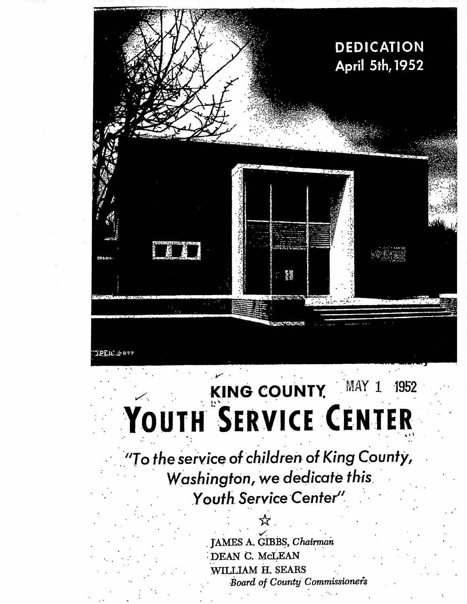

# KING COUNTY MAY 1 1952

"To the service of children of King County, Washington, we dedicate this Youth Service Center"

> JAMES A. GIBBS, Chairman DEAN C. McLEAN WILLIAM H. SEARS Board of County Commissioners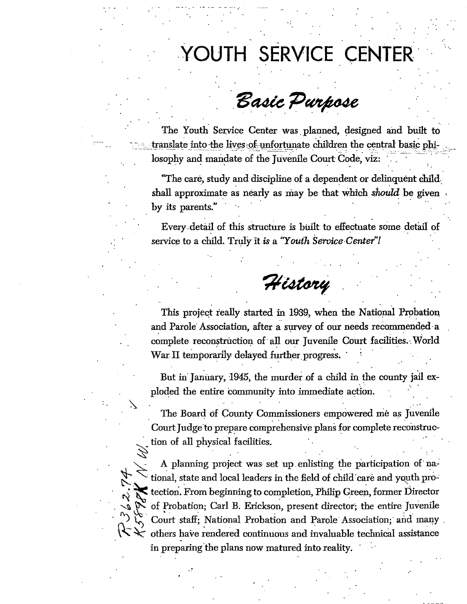# YOUTH SERVICE CENTER

## Basic Purpose

The Youth Service Center was planned, designed and built to translate into the lives of unfortunate children the central basic philosophy and mandate of the Juvenile Court Code, viz:

"The care, study and discipline of a dependent or delinquent child.. shall approximate as nearly as may be that which *should* be given by its parents."

Every detail of this structure is built to effectuate some detail of service to a child. Truly it *is* a *"Youth Service Center"!* 

*gedtxvese* 

This project really started in 1939, when the National Probation and Parole Association, after a survey of our needs recommended a complete reconstruction of all our Juvenile Court facilities.. World War. II temporarily, delayed further progress.

But in January, 1945, the murder of a child in the county jail exploded the entire Community into immediate action. •

• The Board of County Commissioners empowered me as Juvenile Court Judge to prepare comprehensive plans for complete reconstruction of all physical facilities.

A planning project was set up enlisting the participation of na-• tional, state and local leaders in the field of child- care and youth. pro- $\epsilon$  tection. From beginning to completion, Philip Green, former Director of Probation; Carl B. Erickson, present director; the entire Juvenile Court staff; National Probation and Parole Association; and many. others have rendered continuous and invaluable technical assistance in preparing the plans now matured into reality.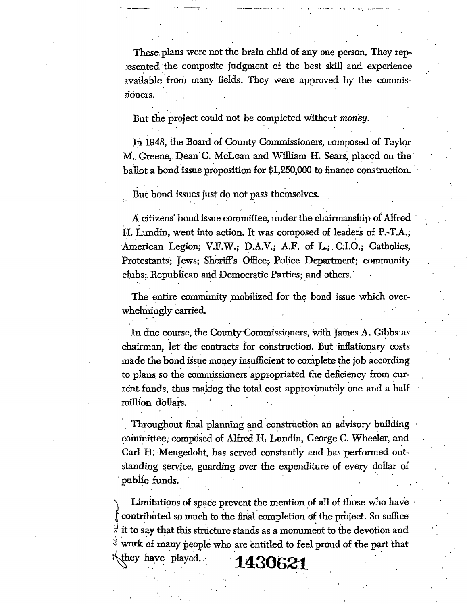These plans were not the brain child of any one person. They represented the composite judgment of the best skill and experience xvailable from many fields. They were approved by the commissioners.

But the project could not be completed Without *money.* 

In 1948, the Board of County Commissioners, composed of Taylor M. Greene, Dean C. McLean and William H. Sears, placed on the ballot a bond issue proposition for \$1,250,000 to finance construction.

But bond issues just do not pass themselves.

• A citizens' bond issue committee, under the chairmanship of Alfred H. Lundin, went into action. It was composed of leaders of P.-T.A.; American Legion; V.F.W.; D.A.V.; A.F. of L.; C.I.O.; Catholics, Protestants; Jews; Sheriff's Office; Police Department; community clubs; Republican and Democratic Parties; and others.

The entire community mobilized for the bond issue which overwhelmingly carried.

In due course, the County Commissioners, with James A. Gibbs as chairman, let the contracts for construction. But inflationary costs made the bond issue money insufficient to complete the job according to plans so the commissioners appropriated the deficiency from current funds, thus making the total cost approximately one and a half million dollars.

Throughout final planning and construction an advisory building committee, composed of Alfred H. Lundin, George C. Wheeler, and Carl H. Mengedoht, has served constantly and has performed out-Standing service, guarding over the expenditure of every dollar of public funds.

Limitations of space prevent the mention of all of those who have contributed so much to the final completion of the project. So suffice it to say that this structure stands as a monument to the devotion and  $\sqrt[3]{}$  work of many people who are entitled to feel proud of the part that  $\pm 430621$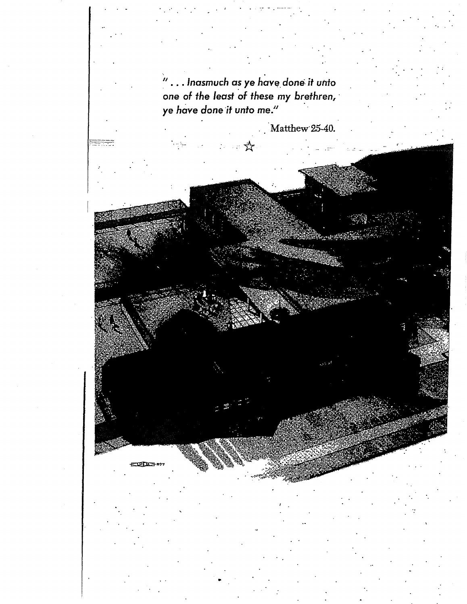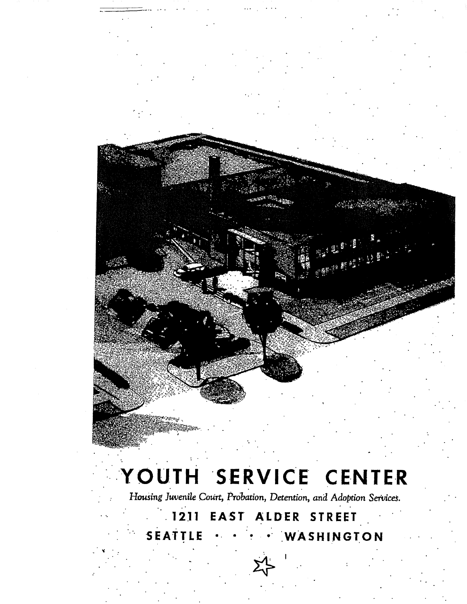

# YOUTH SERVICE CENTER

Housing Juvenile Court, Probation, Detention, and Adoption Services.

 $-1211$ **EAST ALDER STREET** SEATTLE WASHINGTON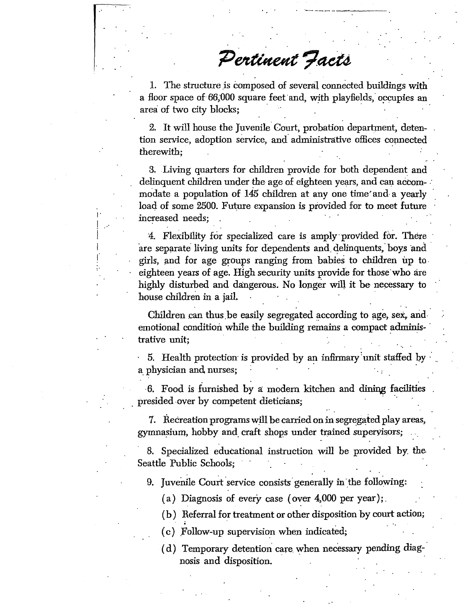Pertinent Facts

1. The structure is composed of several connected buildings with a floor space of 66,900 square . feet and, with playfields; occupies an area of two city blocks;

2. It will house the Juvenile Court, probation department, detention service, adoption service, and administrative offices connected therewith;

3. Living quarters for children provide for both dependent and delinquent children under the age of eighteen years, and can accommodate a population of 145 children at any one time and a yearly load of some 2500. Future expansion is provided for to meet future increased needs;

4. Flexibility for specialized care is amply • provided for. There are separate living units for dependents and. delinquents, boys and girls, and for age groups ranging from babies to children up to eighteen years of age. High security units provide for those who are highly disturbed and dangerous. No longer will it be necessary to house children in a jail. •

Children can thus be easily segregated according to age, *set,* and. emotional condition while the building remains a compact administrative unit;

 $\ddot{\phantom{a}}$ 

• 5. Health protection is provided by an inffimary'unit staffed by a physician and nurses; •

• 6. Food is furnished by a modern kitchen and dining facilities presided .over by competent dieticians;

7. Ikeereation programs will be carried on in segregated play areas, gymnasium, hobby and. craft shops under trained supervisors;

8. Specialized educational instruction will be provided by. the. Seattle Public Schools;

9. Juvenile Court service consists generally in the following:

(a) Diagnosis of every case (over  $4,000$  per year);

(b) Referral for treatment or other disposition by court action;

- (c) Follow-up supervision when indicated;
- ( d) Temporary detention care, when necessary pending diagnosis and disposition.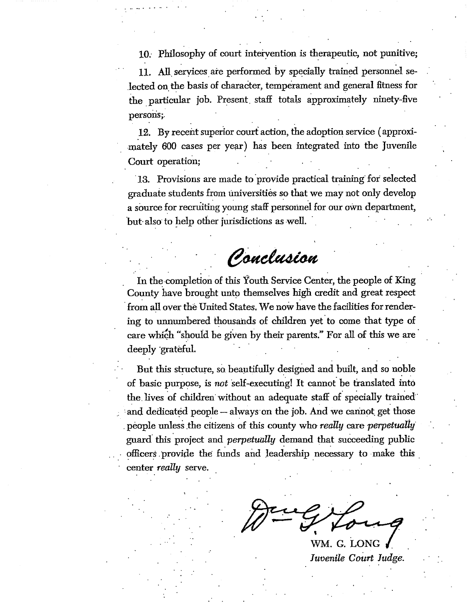10: Philosophy of court intervention is therapeutic, not punitive;

11. All, services are performed by specially trained personnel selected on the basis of character, temperament and general fitness for the particular job. Present, staff totals approximately ninety-five persons;.

12. By recent superior court action, the adoption service ( approxi- . mately 600 cases per year) has been integrated into the juvenile Court operation;

•

13. Provisions are made to provide practical training for selected  $\boldsymbol{\mathrm{grad}}$ uate students from universities so that we may not only develop a source for recruiting young staff personnel for our own department,  $\frac{1}{2}$  but-also to help other jurisdictions as well.

Ponclusion

. In the completion of this Youth Service Center, the people of King County have brought unto themselves high credit and great respect • from all over the United States. We now have the facilities for rendering to unnumbered thousands of children yet to come that type of care which "should be given by their parents." For all of this we are deeply grateful.

But this structure, so beautifully designed and built, and so noble of basic purpose, is *not* self-executing! It cannot be translated into the, lives of children' without an adequate staff of specially trained and dedicated people — always on the job. And we cannot get those . people unless .the citizens of this county who *really* care *perpetually'*  guard this project and *perpetually* demand that succeeding public officers provide the funds and leadership necessary to make this enter *really* serve.

WM. G. LONG *Juvenile Court Judge.*